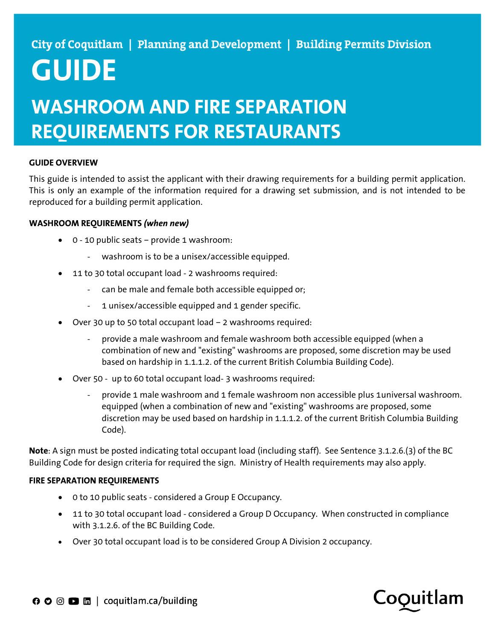# **GUIDE**

## **WASHROOM AND FIRE SEPARATION REQUIREMENTS FOR RESTAURANTS**

### **GUIDE OVERVIEW**

This guide is intended to assist the applicant with their drawing requirements for a building permit application. This is only an example of the information required for a drawing set submission, and is not intended to be reproduced for a building permit application.

#### **WASHROOM REQUIREMENTS** *(when new)*

- 0 10 public seats provide 1 washroom:
	- washroom is to be a unisex/accessible equipped.
- 11 to 30 total occupant load 2 washrooms required:
	- can be male and female both accessible equipped or;
	- 1 unisex/accessible equipped and 1 gender specific.
- Over 30 up to 50 total occupant load 2 washrooms required:
	- provide a male washroom and female washroom both accessible equipped (when a combination of new and "existing" washrooms are proposed, some discretion may be used based on hardship in 1.1.1.2. of the current British Columbia Building Code).
- Over 50 up to 60 total occupant load- 3 washrooms required:
	- provide 1 male washroom and 1 female washroom non accessible plus 1universal washroom. equipped (when a combination of new and "existing" washrooms are proposed, some discretion may be used based on hardship in 1.1.1.2. of the current British Columbia Building Code).

**Note**: A sign must be posted indicating total occupant load (including staff). See Sentence 3.1.2.6.(3) of the BC Building Code for design criteria for required the sign. Ministry of Health requirements may also apply.

### **FIRE SEPARATION REQUIREMENTS**

- 0 to 10 public seats considered a Group E Occupancy.
- 11 to 30 total occupant load considered a Group D Occupancy. When constructed in compliance with 3.1.2.6. of the BC Building Code.
- Over 30 total occupant load is to be considered Group A Division 2 occupancy.